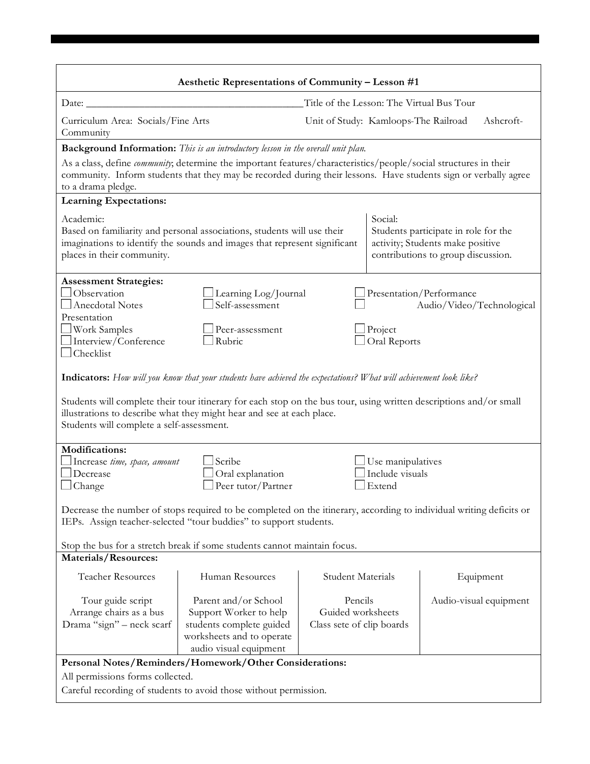|                                                                                                                                                                                                                                                                                                                                                               | Aesthetic Representations of Community - Lesson #1                                                                                                   |                                                                                                                                                                                                                                     |                                                                                                                |  |
|---------------------------------------------------------------------------------------------------------------------------------------------------------------------------------------------------------------------------------------------------------------------------------------------------------------------------------------------------------------|------------------------------------------------------------------------------------------------------------------------------------------------------|-------------------------------------------------------------------------------------------------------------------------------------------------------------------------------------------------------------------------------------|----------------------------------------------------------------------------------------------------------------|--|
| Date: $\overline{\phantom{0}}$                                                                                                                                                                                                                                                                                                                                |                                                                                                                                                      | Title of the Lesson: The Virtual Bus Tour                                                                                                                                                                                           |                                                                                                                |  |
| Curriculum Area: Socials/Fine Arts<br>Community                                                                                                                                                                                                                                                                                                               |                                                                                                                                                      | Unit of Study: Kamloops-The Railroad                                                                                                                                                                                                | Ashcroft-                                                                                                      |  |
|                                                                                                                                                                                                                                                                                                                                                               | <b>Background Information:</b> This is an introductory lesson in the overall unit plan.                                                              |                                                                                                                                                                                                                                     |                                                                                                                |  |
| to a drama pledge.                                                                                                                                                                                                                                                                                                                                            |                                                                                                                                                      | As a class, define community; determine the important features/characteristics/people/social structures in their<br>community. Inform students that they may be recorded during their lessons. Have students sign or verbally agree |                                                                                                                |  |
| <b>Learning Expectations:</b>                                                                                                                                                                                                                                                                                                                                 |                                                                                                                                                      |                                                                                                                                                                                                                                     |                                                                                                                |  |
| Academic:<br>places in their community.                                                                                                                                                                                                                                                                                                                       | Based on familiarity and personal associations, students will use their<br>imaginations to identify the sounds and images that represent significant | Social:                                                                                                                                                                                                                             | Students participate in role for the<br>activity; Students make positive<br>contributions to group discussion. |  |
| <b>Assessment Strategies:</b><br>Observation<br>Anecdotal Notes<br>Presentation<br>Work Samples<br>$\Box$ Interview/Conference<br>$\Box$ Checklist                                                                                                                                                                                                            | Learning Log/Journal<br>Self-assessment<br>Peer-assessment<br>Rubric                                                                                 | $\Box$ Project<br>Oral Reports                                                                                                                                                                                                      | Presentation/Performance<br>Audio/Video/Technological                                                          |  |
| Indicators: How will you know that your students have achieved the expectations? What will achievement look like?<br>Students will complete their tour itinerary for each stop on the bus tour, using written descriptions and/or small<br>illustrations to describe what they might hear and see at each place.<br>Students will complete a self-assessment. |                                                                                                                                                      |                                                                                                                                                                                                                                     |                                                                                                                |  |
| <b>Modifications:</b><br>Scribe<br>Use manipulatives<br>Increase time, space, amount<br>Oral explanation<br>Include visuals<br>Decrease<br>$\Box$ Peer tutor/Partner<br>$\Box$ Change<br>$\Box$ Extend                                                                                                                                                        |                                                                                                                                                      |                                                                                                                                                                                                                                     |                                                                                                                |  |
| Decrease the number of stops required to be completed on the itinerary, according to individual writing deficits or<br>IEPs. Assign teacher-selected "tour buddies" to support students.                                                                                                                                                                      |                                                                                                                                                      |                                                                                                                                                                                                                                     |                                                                                                                |  |
| Stop the bus for a stretch break if some students cannot maintain focus.<br>Materials/Resources:                                                                                                                                                                                                                                                              |                                                                                                                                                      |                                                                                                                                                                                                                                     |                                                                                                                |  |
| Teacher Resources                                                                                                                                                                                                                                                                                                                                             | Human Resources                                                                                                                                      | Student Materials                                                                                                                                                                                                                   | Equipment                                                                                                      |  |
| Tour guide script<br>Arrange chairs as a bus<br>Drama "sign" - neck scarf                                                                                                                                                                                                                                                                                     | Parent and/or School<br>Support Worker to help<br>students complete guided<br>worksheets and to operate<br>audio visual equipment                    | Pencils<br>Guided worksheets<br>Class sete of clip boards                                                                                                                                                                           | Audio-visual equipment                                                                                         |  |
| Personal Notes/Reminders/Homework/Other Considerations:<br>All permissions forms collected.<br>Careful recording of students to avoid those without permission.                                                                                                                                                                                               |                                                                                                                                                      |                                                                                                                                                                                                                                     |                                                                                                                |  |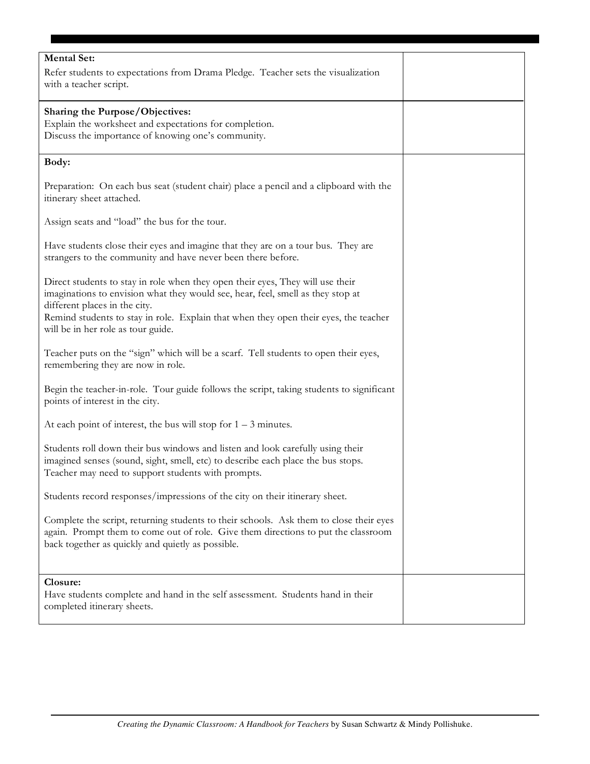| <b>Mental Set:</b><br>Refer students to expectations from Drama Pledge. Teacher sets the visualization<br>with a teacher script.                                                                                                                                                                                                 |  |
|----------------------------------------------------------------------------------------------------------------------------------------------------------------------------------------------------------------------------------------------------------------------------------------------------------------------------------|--|
| Sharing the Purpose/Objectives:<br>Explain the worksheet and expectations for completion.<br>Discuss the importance of knowing one's community.                                                                                                                                                                                  |  |
| Body:                                                                                                                                                                                                                                                                                                                            |  |
| Preparation: On each bus seat (student chair) place a pencil and a clipboard with the<br>itinerary sheet attached.                                                                                                                                                                                                               |  |
| Assign seats and "load" the bus for the tour.                                                                                                                                                                                                                                                                                    |  |
| Have students close their eyes and imagine that they are on a tour bus. They are<br>strangers to the community and have never been there before.                                                                                                                                                                                 |  |
| Direct students to stay in role when they open their eyes, They will use their<br>imaginations to envision what they would see, hear, feel, smell as they stop at<br>different places in the city.<br>Remind students to stay in role. Explain that when they open their eyes, the teacher<br>will be in her role as tour guide. |  |
| Teacher puts on the "sign" which will be a scarf. Tell students to open their eyes,<br>remembering they are now in role.                                                                                                                                                                                                         |  |
| Begin the teacher-in-role. Tour guide follows the script, taking students to significant<br>points of interest in the city.                                                                                                                                                                                                      |  |
| At each point of interest, the bus will stop for $1 - 3$ minutes.                                                                                                                                                                                                                                                                |  |
| Students roll down their bus windows and listen and look carefully using their<br>imagined senses (sound, sight, smell, etc) to describe each place the bus stops.<br>Teacher may need to support students with prompts.                                                                                                         |  |
| Students record responses/impressions of the city on their itinerary sheet.                                                                                                                                                                                                                                                      |  |
| Complete the script, returning students to their schools. Ask them to close their eyes<br>again. Prompt them to come out of role. Give them directions to put the classroom<br>back together as quickly and quietly as possible.                                                                                                 |  |
| Closure:                                                                                                                                                                                                                                                                                                                         |  |
| Have students complete and hand in the self assessment. Students hand in their<br>completed itinerary sheets.                                                                                                                                                                                                                    |  |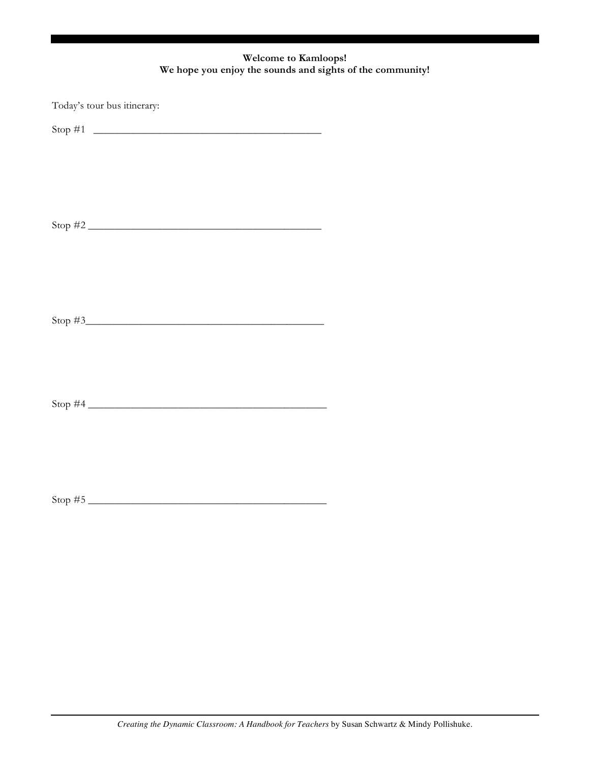## **Welcome to Kamloops! We hope you enjoy the sounds and sights of the community!**

| Today's tour bus itinerary: |  |
|-----------------------------|--|
|                             |  |
|                             |  |
|                             |  |
|                             |  |
|                             |  |
|                             |  |
|                             |  |
|                             |  |
|                             |  |
|                             |  |
|                             |  |
|                             |  |
|                             |  |
|                             |  |
|                             |  |
|                             |  |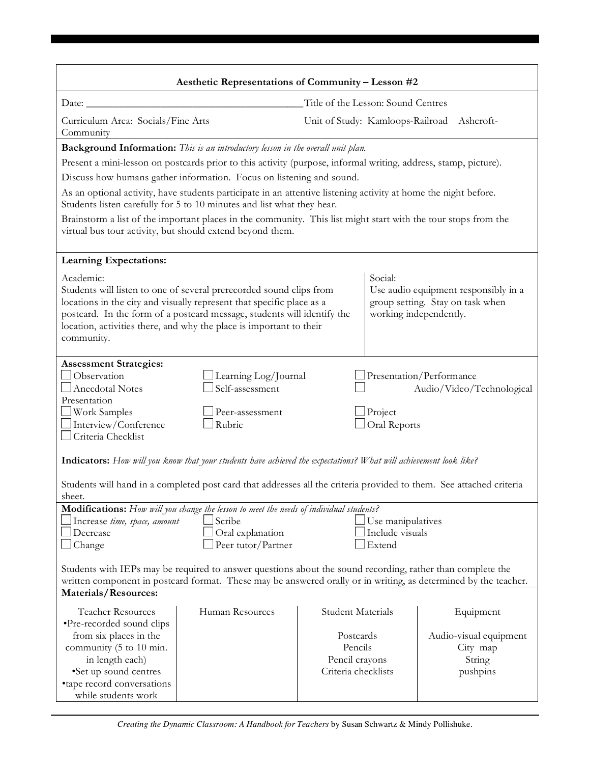| Aesthetic Representations of Community - Lesson #2                                                                                                                                                                                                                                                                        |                                                                                                                 |                                                     |                                                                          |  |
|---------------------------------------------------------------------------------------------------------------------------------------------------------------------------------------------------------------------------------------------------------------------------------------------------------------------------|-----------------------------------------------------------------------------------------------------------------|-----------------------------------------------------|--------------------------------------------------------------------------|--|
| Title of the Lesson: Sound Centres<br>Date: $\_\_$                                                                                                                                                                                                                                                                        |                                                                                                                 |                                                     |                                                                          |  |
| Curriculum Area: Socials/Fine Arts<br>Community                                                                                                                                                                                                                                                                           | Unit of Study: Kamloops-Railroad                                                                                |                                                     | Ashcroft-                                                                |  |
| Background Information: This is an introductory lesson in the overall unit plan.                                                                                                                                                                                                                                          |                                                                                                                 |                                                     |                                                                          |  |
|                                                                                                                                                                                                                                                                                                                           | Present a mini-lesson on postcards prior to this activity (purpose, informal writing, address, stamp, picture). |                                                     |                                                                          |  |
| Discuss how humans gather information. Focus on listening and sound.                                                                                                                                                                                                                                                      |                                                                                                                 |                                                     |                                                                          |  |
| As an optional activity, have students participate in an attentive listening activity at home the night before.<br>Students listen carefully for 5 to 10 minutes and list what they hear.                                                                                                                                 |                                                                                                                 |                                                     |                                                                          |  |
| Brainstorm a list of the important places in the community. This list might start with the tour stops from the<br>virtual bus tour activity, but should extend beyond them.                                                                                                                                               |                                                                                                                 |                                                     |                                                                          |  |
| <b>Learning Expectations:</b>                                                                                                                                                                                                                                                                                             |                                                                                                                 |                                                     |                                                                          |  |
| Academic:<br>Students will listen to one of several prerecorded sound clips from<br>locations in the city and visually represent that specific place as a<br>postcard. In the form of a postcard message, students will identify the<br>location, activities there, and why the place is important to their<br>community. |                                                                                                                 | Social:<br>working independently.                   | Use audio equipment responsibly in a<br>group setting. Stay on task when |  |
| <b>Assessment Strategies:</b><br>Observation<br>Learning Log/Journal<br>Self-assessment<br>Anecdotal Notes<br>Presentation<br><b>Work Samples</b><br>Peer-assessment<br>$\Box$ Interview/Conference<br>Rubric<br>$\Box$ Criteria Checklist                                                                                |                                                                                                                 | Presentation/Performance<br>Project<br>Oral Reports | Audio/Video/Technological                                                |  |
| Indicators: How will you know that your students have achieved the expectations? What will achievement look like?<br>Students will hand in a completed post card that addresses all the criteria provided to them. See attached criteria<br>sheet.                                                                        |                                                                                                                 |                                                     |                                                                          |  |
| Modifications: How will you change the lesson to meet the needs of individual students?<br>Scribe<br>$\Box$ Increase time, space, amount<br>Use manipulatives<br>Include visuals<br>Decrease<br>Oral explanation<br>Peer tutor/Partner<br>Extend<br>$\Box$ Change                                                         |                                                                                                                 |                                                     |                                                                          |  |
| Students with IEPs may be required to answer questions about the sound recording, rather than complete the<br>written component in postcard format. These may be answered orally or in writing, as determined by the teacher.                                                                                             |                                                                                                                 |                                                     |                                                                          |  |
| Materials/Resources:<br><b>Teacher Resources</b><br>Human Resources<br>•Pre-recorded sound clips<br>from six places in the<br>community (5 to 10 min.<br>in length each)<br>•Set up sound centres<br>•tape record conversations<br>while students work                                                                    | <b>Student Materials</b><br>Postcards<br>Pencils<br>Pencil crayons<br>Criteria checklists                       |                                                     | Equipment<br>Audio-visual equipment<br>City map<br>String<br>pushpins    |  |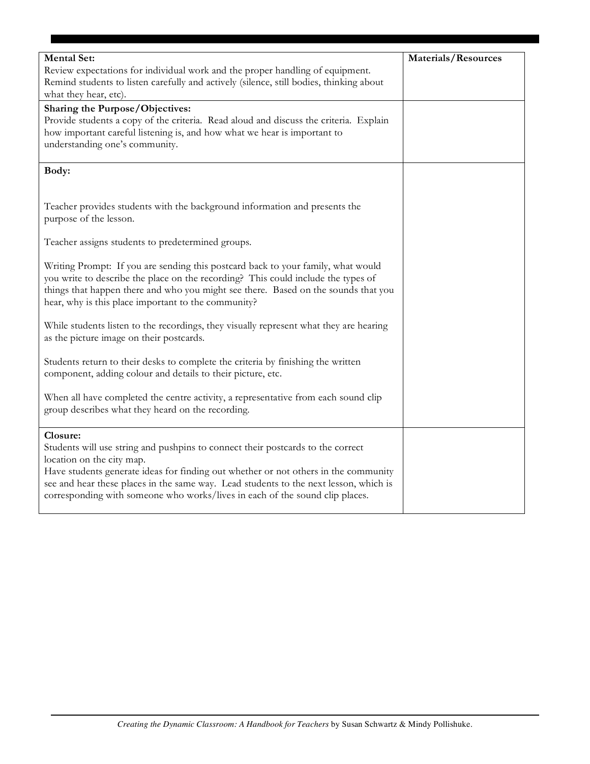| <b>Mental Set:</b>                                                                      | <b>Materials/Resources</b> |
|-----------------------------------------------------------------------------------------|----------------------------|
| Review expectations for individual work and the proper handling of equipment.           |                            |
| Remind students to listen carefully and actively (silence, still bodies, thinking about |                            |
| what they hear, etc).                                                                   |                            |
| Sharing the Purpose/Objectives:                                                         |                            |
| Provide students a copy of the criteria. Read aloud and discuss the criteria. Explain   |                            |
| how important careful listening is, and how what we hear is important to                |                            |
| understanding one's community.                                                          |                            |
|                                                                                         |                            |
| Body:                                                                                   |                            |
|                                                                                         |                            |
|                                                                                         |                            |
| Teacher provides students with the background information and presents the              |                            |
| purpose of the lesson.                                                                  |                            |
|                                                                                         |                            |
| Teacher assigns students to predetermined groups.                                       |                            |
|                                                                                         |                            |
| Writing Prompt: If you are sending this postcard back to your family, what would        |                            |
| you write to describe the place on the recording? This could include the types of       |                            |
| things that happen there and who you might see there. Based on the sounds that you      |                            |
| hear, why is this place important to the community?                                     |                            |
|                                                                                         |                            |
| While students listen to the recordings, they visually represent what they are hearing  |                            |
| as the picture image on their postcards.                                                |                            |
|                                                                                         |                            |
| Students return to their desks to complete the criteria by finishing the written        |                            |
| component, adding colour and details to their picture, etc.                             |                            |
|                                                                                         |                            |
| When all have completed the centre activity, a representative from each sound clip      |                            |
| group describes what they heard on the recording.                                       |                            |
|                                                                                         |                            |
| Closure:                                                                                |                            |
| Students will use string and pushpins to connect their postcards to the correct         |                            |
| location on the city map.                                                               |                            |
| Have students generate ideas for finding out whether or not others in the community     |                            |
| see and hear these places in the same way. Lead students to the next lesson, which is   |                            |
| corresponding with someone who works/lives in each of the sound clip places.            |                            |
|                                                                                         |                            |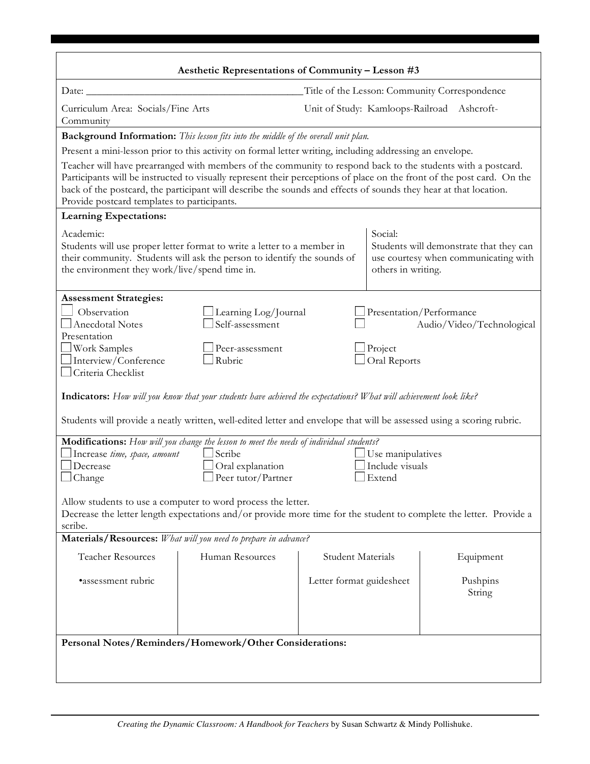| Aesthetic Representations of Community - Lesson #3                                                                                                                                                                                                                                     |                                                                                                                                                                                                                                                                                                                                                            |                          |                                |                                                                                 |
|----------------------------------------------------------------------------------------------------------------------------------------------------------------------------------------------------------------------------------------------------------------------------------------|------------------------------------------------------------------------------------------------------------------------------------------------------------------------------------------------------------------------------------------------------------------------------------------------------------------------------------------------------------|--------------------------|--------------------------------|---------------------------------------------------------------------------------|
| Title of the Lesson: Community Correspondence<br>Date: $\overline{\phantom{a}}$                                                                                                                                                                                                        |                                                                                                                                                                                                                                                                                                                                                            |                          |                                |                                                                                 |
| Curriculum Area: Socials/Fine Arts<br>Community                                                                                                                                                                                                                                        |                                                                                                                                                                                                                                                                                                                                                            |                          |                                | Unit of Study: Kamloops-Railroad Ashcroft-                                      |
|                                                                                                                                                                                                                                                                                        | <b>Background Information:</b> This lesson fits into the middle of the overall unit plan.                                                                                                                                                                                                                                                                  |                          |                                |                                                                                 |
| Present a mini-lesson prior to this activity on formal letter writing, including addressing an envelope.                                                                                                                                                                               |                                                                                                                                                                                                                                                                                                                                                            |                          |                                |                                                                                 |
| Provide postcard templates to participants.                                                                                                                                                                                                                                            | Teacher will have prearranged with members of the community to respond back to the students with a postcard.<br>Participants will be instructed to visually represent their perceptions of place on the front of the post card. On the<br>back of the postcard, the participant will describe the sounds and effects of sounds they hear at that location. |                          |                                |                                                                                 |
| <b>Learning Expectations:</b>                                                                                                                                                                                                                                                          |                                                                                                                                                                                                                                                                                                                                                            |                          |                                |                                                                                 |
| Academic:<br>the environment they work/live/spend time in.                                                                                                                                                                                                                             | Students will use proper letter format to write a letter to a member in<br>their community. Students will ask the person to identify the sounds of                                                                                                                                                                                                         |                          | Social:<br>others in writing.  | Students will demonstrate that they can<br>use courtesy when communicating with |
| <b>Assessment Strategies:</b>                                                                                                                                                                                                                                                          |                                                                                                                                                                                                                                                                                                                                                            |                          |                                |                                                                                 |
| Observation<br><b>Anecdotal Notes</b><br>Presentation                                                                                                                                                                                                                                  | Learning Log/Journal<br>Self-assessment                                                                                                                                                                                                                                                                                                                    |                          |                                | Presentation/Performance<br>Audio/Video/Technological                           |
| Work Samples<br>Interview/Conference<br>Criteria Checklist                                                                                                                                                                                                                             | Peer-assessment<br>Rubric                                                                                                                                                                                                                                                                                                                                  |                          | $\Box$ Project<br>Oral Reports |                                                                                 |
| <b>Indicators:</b> How will you know that your students have achieved the expectations? What will achievement look like?                                                                                                                                                               |                                                                                                                                                                                                                                                                                                                                                            |                          |                                |                                                                                 |
|                                                                                                                                                                                                                                                                                        | Students will provide a neatly written, well-edited letter and envelope that will be assessed using a scoring rubric.                                                                                                                                                                                                                                      |                          |                                |                                                                                 |
| Modifications: How will you change the lesson to meet the needs of individual students?<br>$\Box$ Scribe<br>$\Box$ Use manipulatives<br>Increase time, space, amount<br>Oral explanation<br>Include visuals<br>Decrease<br>$\Box$ Peer tutor/Partner<br>$\Box$ Change<br>$\Box$ Extend |                                                                                                                                                                                                                                                                                                                                                            |                          |                                |                                                                                 |
| Allow students to use a computer to word process the letter.<br>Decrease the letter length expectations and/or provide more time for the student to complete the letter. Provide a<br>scribe.                                                                                          |                                                                                                                                                                                                                                                                                                                                                            |                          |                                |                                                                                 |
| Materials/Resources: What will you need to prepare in advance?                                                                                                                                                                                                                         |                                                                                                                                                                                                                                                                                                                                                            |                          |                                |                                                                                 |
| <b>Teacher Resources</b>                                                                                                                                                                                                                                                               | Human Resources                                                                                                                                                                                                                                                                                                                                            | <b>Student Materials</b> |                                | Equipment                                                                       |
| ·assessment rubric                                                                                                                                                                                                                                                                     |                                                                                                                                                                                                                                                                                                                                                            | Letter format guidesheet |                                | Pushpins<br>String                                                              |
| Personal Notes/Reminders/Homework/Other Considerations:                                                                                                                                                                                                                                |                                                                                                                                                                                                                                                                                                                                                            |                          |                                |                                                                                 |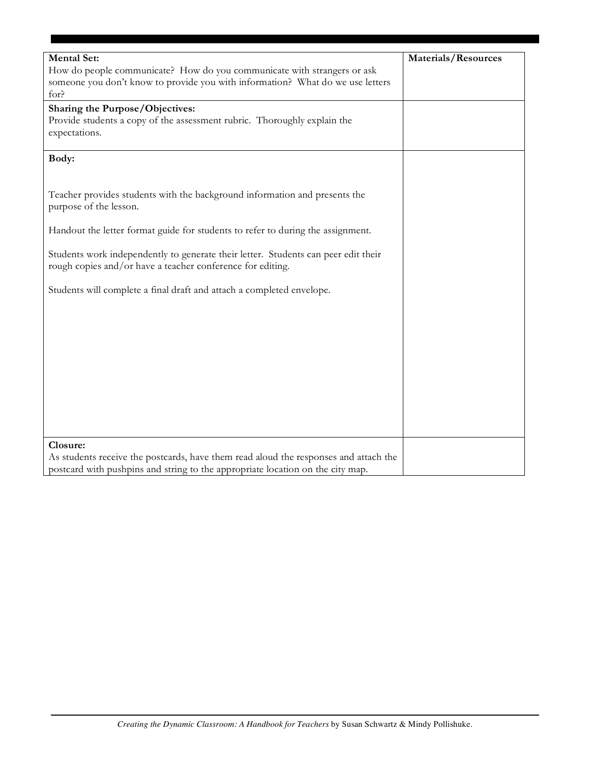| <b>Mental Set:</b>                                                                   | <b>Materials/Resources</b> |
|--------------------------------------------------------------------------------------|----------------------------|
| How do people communicate? How do you communicate with strangers or ask              |                            |
| someone you don't know to provide you with information? What do we use letters       |                            |
| for?                                                                                 |                            |
| Sharing the Purpose/Objectives:                                                      |                            |
| Provide students a copy of the assessment rubric. Thoroughly explain the             |                            |
| expectations.                                                                        |                            |
|                                                                                      |                            |
| Body:                                                                                |                            |
|                                                                                      |                            |
|                                                                                      |                            |
| Teacher provides students with the background information and presents the           |                            |
| purpose of the lesson.                                                               |                            |
|                                                                                      |                            |
| Handout the letter format guide for students to refer to during the assignment.      |                            |
|                                                                                      |                            |
| Students work independently to generate their letter. Students can peer edit their   |                            |
| rough copies and/or have a teacher conference for editing.                           |                            |
|                                                                                      |                            |
| Students will complete a final draft and attach a completed envelope.                |                            |
|                                                                                      |                            |
|                                                                                      |                            |
|                                                                                      |                            |
|                                                                                      |                            |
|                                                                                      |                            |
|                                                                                      |                            |
|                                                                                      |                            |
|                                                                                      |                            |
|                                                                                      |                            |
|                                                                                      |                            |
|                                                                                      |                            |
|                                                                                      |                            |
| Closure:                                                                             |                            |
| As students receive the postcards, have them read aloud the responses and attach the |                            |
| postcard with pushpins and string to the appropriate location on the city map.       |                            |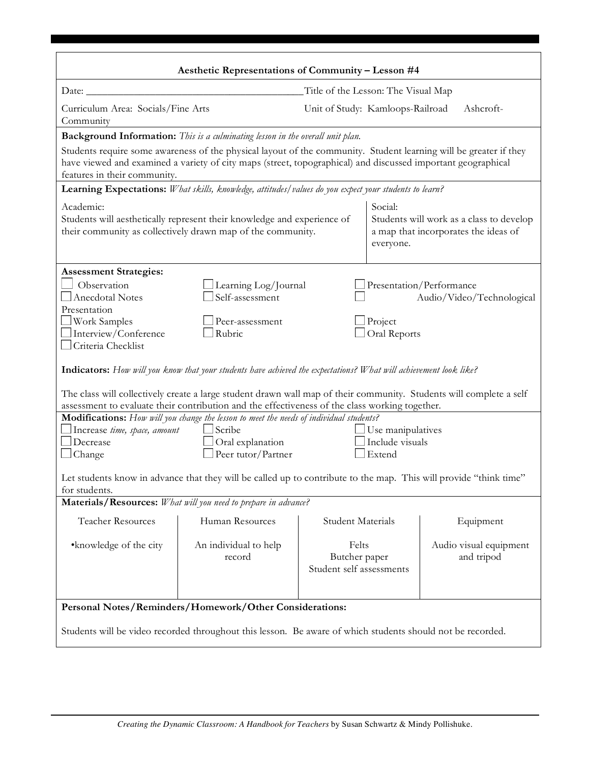| Aesthetic Representations of Community - Lesson #4                                                                                                                                                                                                                                                                                                                             |                                                                                                                                                                                                                                         |                                                    |                                                                                  |  |  |
|--------------------------------------------------------------------------------------------------------------------------------------------------------------------------------------------------------------------------------------------------------------------------------------------------------------------------------------------------------------------------------|-----------------------------------------------------------------------------------------------------------------------------------------------------------------------------------------------------------------------------------------|----------------------------------------------------|----------------------------------------------------------------------------------|--|--|
| Title of the Lesson: The Visual Map<br>Date:                                                                                                                                                                                                                                                                                                                                   |                                                                                                                                                                                                                                         |                                                    |                                                                                  |  |  |
| Curriculum Area: Socials/Fine Arts<br>Community                                                                                                                                                                                                                                                                                                                                |                                                                                                                                                                                                                                         | Unit of Study: Kamloops-Railroad                   | Ashcroft-                                                                        |  |  |
|                                                                                                                                                                                                                                                                                                                                                                                | Background Information: This is a culminating lesson in the overall unit plan.                                                                                                                                                          |                                                    |                                                                                  |  |  |
| features in their community.                                                                                                                                                                                                                                                                                                                                                   | Students require some awareness of the physical layout of the community. Student learning will be greater if they<br>have viewed and examined a variety of city maps (street, topographical) and discussed important geographical       |                                                    |                                                                                  |  |  |
|                                                                                                                                                                                                                                                                                                                                                                                | Learning Expectations: What skills, knowledge, attitudes/values do you expect your students to learn?                                                                                                                                   |                                                    |                                                                                  |  |  |
| Academic:<br>Students will aesthetically represent their knowledge and experience of<br>their community as collectively drawn map of the community.                                                                                                                                                                                                                            |                                                                                                                                                                                                                                         | Social:<br>everyone.                               | Students will work as a class to develop<br>a map that incorporates the ideas of |  |  |
| <b>Assessment Strategies:</b><br>Observation<br><b>Anecdotal Notes</b><br>Presentation<br>$\Box$ Work Samples<br>$\Box$ Interview/Conference                                                                                                                                                                                                                                   | Learning Log/Journal<br>Self-assessment<br>Peer-assessment<br>Rubric                                                                                                                                                                    | $\Box$ Project<br>Oral Reports                     | Presentation/Performance<br>Audio/Video/Technological                            |  |  |
| $\Box$ Criteria Checklist<br><b>Indicators:</b> How will you know that your students have achieved the expectations? What will achievement look like?<br>The class will collectively create a large student drawn wall map of their community. Students will complete a self<br>assessment to evaluate their contribution and the effectiveness of the class working together. |                                                                                                                                                                                                                                         |                                                    |                                                                                  |  |  |
| Decrease<br>$\Box$ Change                                                                                                                                                                                                                                                                                                                                                      | Modifications: How will you change the lesson to meet the needs of individual students?<br>Scribe<br>$\exists$ Use manipulatives<br>Increase time, space, amount<br>Include visuals<br>Oral explanation<br>Peer tutor/Partner<br>Extend |                                                    |                                                                                  |  |  |
| Let students know in advance that they will be called up to contribute to the map. This will provide "think time"<br>for students.<br>Materials/Resources: What will you need to prepare in advance?                                                                                                                                                                           |                                                                                                                                                                                                                                         |                                                    |                                                                                  |  |  |
|                                                                                                                                                                                                                                                                                                                                                                                |                                                                                                                                                                                                                                         |                                                    |                                                                                  |  |  |
| <b>Teacher Resources</b>                                                                                                                                                                                                                                                                                                                                                       | Human Resources                                                                                                                                                                                                                         | <b>Student Materials</b>                           | Equipment                                                                        |  |  |
| •knowledge of the city                                                                                                                                                                                                                                                                                                                                                         | An individual to help<br>record                                                                                                                                                                                                         | Felts<br>Butcher paper<br>Student self assessments | Audio visual equipment<br>and tripod                                             |  |  |
| Personal Notes/Reminders/Homework/Other Considerations:                                                                                                                                                                                                                                                                                                                        |                                                                                                                                                                                                                                         |                                                    |                                                                                  |  |  |
| Students will be video recorded throughout this lesson. Be aware of which students should not be recorded.                                                                                                                                                                                                                                                                     |                                                                                                                                                                                                                                         |                                                    |                                                                                  |  |  |